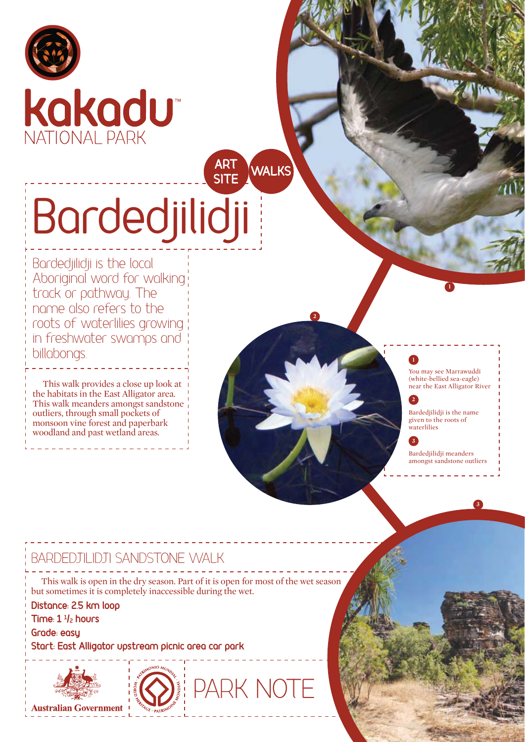



# Bardedjilidji **IRT**<br>SITE

Bardedjilidji is the local Aboriginal word for walking track or pathway. The name also refers to the roots of waterlilies growing in freshwater swamps and billabongs.

This walk provides a close up look at the habitats in the East Alligator area. This walk meanders amongst sandstone outliers, through small pockets of monsoon vine forest and paperbark woodland and past wetland areas.

#### **1**

**2**

**WALKS** 

You may see Marrawuddi (white-bellied sea-eagle) near the East Alligator River

**1**

#### **2**

Bardedjilidji is the name given to the roots of waterlilies

#### **3**

Bardedjilidji meanders amongst sandstone outliers

**3**

#### BARDEDJILIDJI SANDSTONE WALK

This walk is open in the dry season. Part of it is open for most of the wet season but sometimes it is completely inaccessible during the wet.

Distance: 2.5 km loop Time: 1 <sup>1</sup>/<sub>2</sub> hours

**Grade: easu** 

**Start: East Alligator upstream picnic area car park** 





PARK NOTE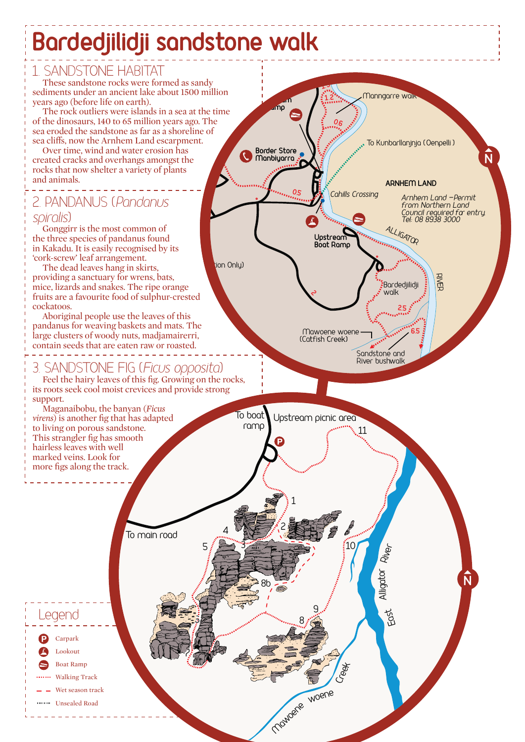# **Bardedjilidji sandstone walk**

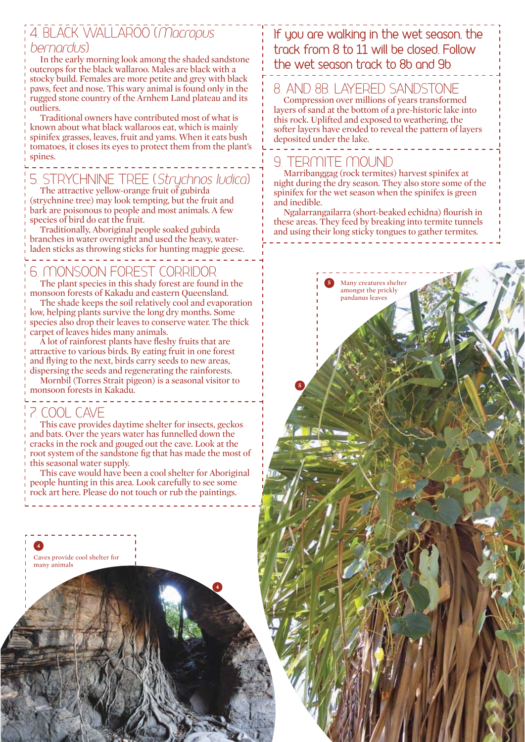#### \*\$8B79AM7BB7HEE*Macropus bernardus*

In the early morning look among the shaded sandstone outcrops for the black wallaroo. Males are black with a stocky build. Females are more petite and grey with black paws, feet and nose. This wary animal is found only in the rugged stone country of the Arnhem Land plateau and its outliers.

Traditional owners have contributed most of what is known about what black wallaroos eat, which is mainly spinifex grasses, leaves, fruit and yams. When it eats bush tomatoes, it closes its eyes to protect them from the plant's spines.

#### . . . 5. STRYCHNINE TREE (*Strychnos ludica*)

The attractive yellow-orange fruit of gubirda (strychnine tree) may look tempting, but the fruit and bark are poisonous to people and most animals. A few species of bird do eat the fruit.

Traditionally, Aboriginal people soaked gubirda branches in water overnight and used the heavy, waterladen sticks as throwing sticks for hunting magpie geese.

## 6. MONSOON FOREST CORRIDOR

The plant species in this shady forest are found in the monsoon forests of Kakadu and eastern Queensland.

The shade keeps the soil relatively cool and evaporation low, helping plants survive the long dry months. Some species also drop their leaves to conserve water. The thick carpet of leaves hides many animals.

A lot of rainforest plants have fleshy fruits that are attractive to various birds. By eating fruit in one forest and flying to the next, birds carry seeds to new areas, dispersing the seeds and regenerating the rainforests.

Mornbil (Torres Strait pigeon) is a seasonal visitor to monsoon forests in Kakadu.

#### COOL CAVE

This cave provides daytime shelter for insects, geckos and bats. Over the years water has funnelled down the cracks in the rock and gouged out the cave. Look at the root system of the sandstone fig that has made the most of this seasonal water supply.

This cave would have been a cool shelter for Aboriginal people hunting in this area. Look carefully to see some rock art here. Please do not touch or rub the paintings.

**4**

Caves provide cool shelter for many animals **4**

#### If you are walking in the wet season, the  $\frac{1}{2}$  from 8 to 11 will be closed. Follow the wet season track to 8b and 9b

### AND 8B. LAYERED SANDSTONE

Compression over millions of years transformed layers of sand at the bottom of a pre-historic lake into this rock. Uplifted and exposed to weathering, the softer layers have eroded to reveal the pattern of layers deposited under the lake.

# 9 TERMITE MOUND

Marribanggag (rock termites) harvest spinifex at night during the dry season. They also store some of the spinifex for the wet season when the spinifex is green and inedible.

Ngalarrangailarra (short-beaked echidna) flourish in these areas. They feed by breaking into termite tunnels and using their long sticky tongues to gather termites.